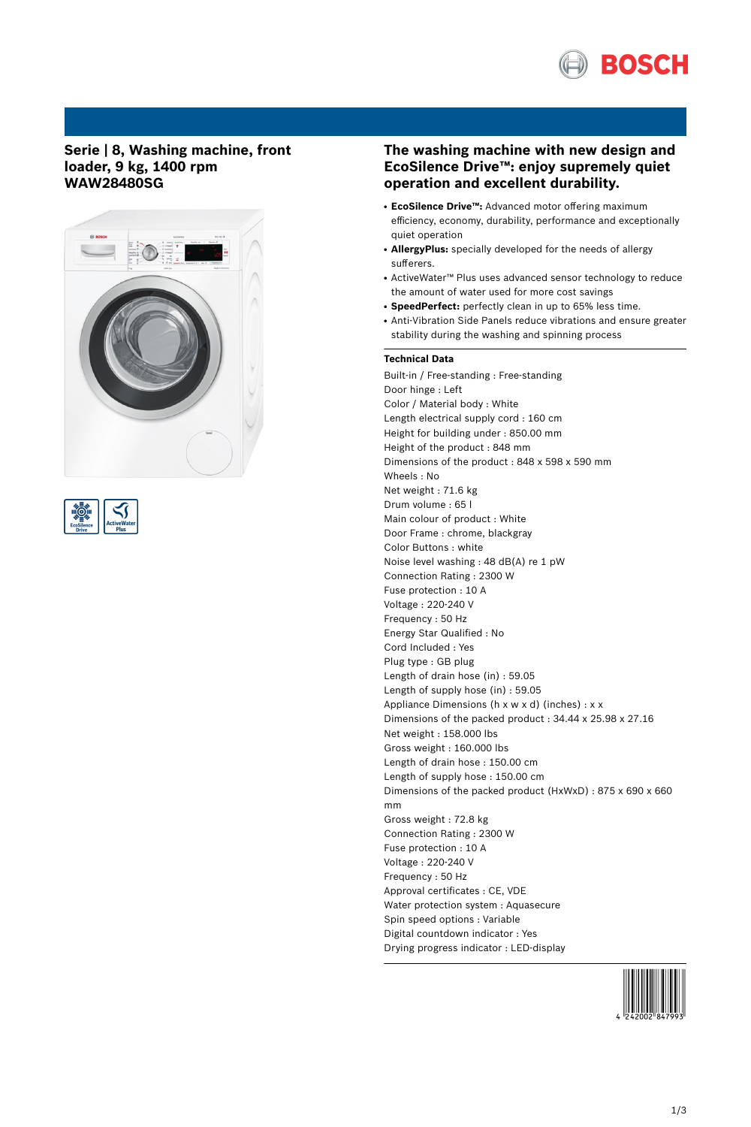

## **Serie | 8, Washing machine, front loader, 9 kg, 1400 rpm WAW28480SG**





# **The washing machine with new design and EcoSilence Drive™: enjoy supremely quiet operation and excellent durability.**

- **EcoSilence Drive™:** Advanced motor offering maximum efficiency, economy, durability, performance and exceptionally quiet operation
- **AllergyPlus:** specially developed for the needs of allergy sufferers.
- ActiveWater™ Plus uses advanced sensor technology to reduce the amount of water used for more cost savings
- SpeedPerfect: perfectly clean in up to 65% less time.
- Anti-Vibration Side Panels reduce vibrations and ensure greater stability during the washing and spinning process

### **Technical Data**

Built-in / Free-standing : Free-standing Door hinge : Left Color / Material body : White Length electrical supply cord : 160 cm Height for building under : 850.00 mm Height of the product : 848 mm Dimensions of the product : 848 x 598 x 590 mm Wheels : No Net weight : 71.6 kg Drum volume : 65 l Main colour of product : White Door Frame : chrome, blackgray Color Buttons : white Noise level washing : 48 dB(A) re 1 pW Connection Rating : 2300 W Fuse protection : 10 A Voltage : 220-240 V Frequency : 50 Hz Energy Star Qualified : No Cord Included : Yes Plug type : GB plug Length of drain hose (in) : 59.05 Length of supply hose (in) : 59.05 Appliance Dimensions (h x w x d) (inches) : x x Dimensions of the packed product : 34.44 x 25.98 x 27.16 Net weight : 158.000 lbs Gross weight : 160.000 lbs Length of drain hose : 150.00 cm Length of supply hose : 150.00 cm Dimensions of the packed product (HxWxD) : 875 x 690 x 660 mm Gross weight : 72.8 kg Connection Rating : 2300 W Fuse protection : 10 A Voltage : 220-240 V Frequency : 50 Hz Approval certificates : CE, VDE Water protection system : Aquasecure Spin speed options : Variable Digital countdown indicator : Yes Drying progress indicator : LED-display

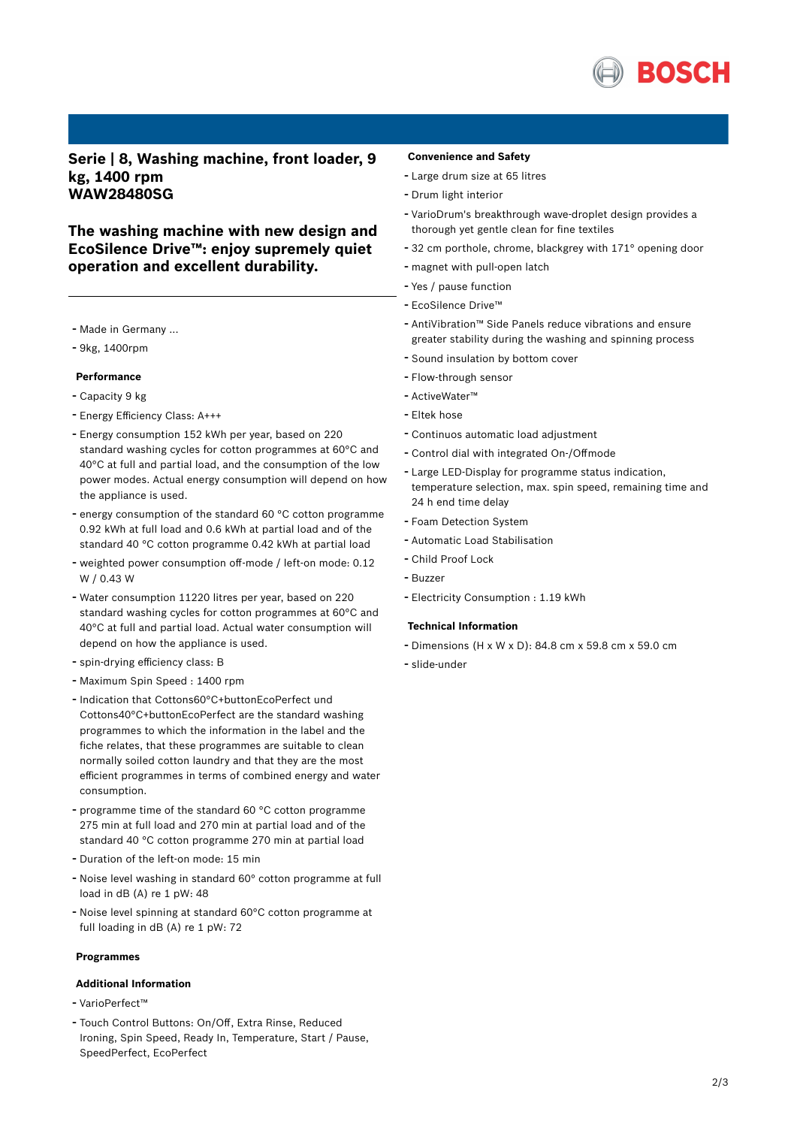

**Serie | 8, Washing machine, front loader, 9 kg, 1400 rpm WAW28480SG**

**The washing machine with new design and EcoSilence Drive™: enjoy supremely quiet operation and excellent durability.**

- Made in Germany ...
- 9kg, 1400rpm

## **Performance**

- Capacity <sup>9</sup> kg
- Energy Efficiency Class: A+++
- Energy consumption <sup>152</sup> kWh per year, based on <sup>220</sup> standard washing cycles for cotton programmes at 60°C and 40°C at full and partial load, and the consumption of the low power modes. Actual energy consumption will depend on how the appliance is used.
- energy consumption of the standard <sup>60</sup> °C cotton programme 0.92 kWh at full load and 0.6 kWh at partial load and of the standard 40 °C cotton programme 0.42 kWh at partial load
- weighted power consumption off-mode / left-on mode: 0.12 W / 0.43 W
- Water consumption <sup>11220</sup> litres per year, based on <sup>220</sup> standard washing cycles for cotton programmes at 60°C and 40°C at full and partial load. Actual water consumption will depend on how the appliance is used.
- spin-drying efficiency class: <sup>B</sup>
- Maximum Spin Speed : <sup>1400</sup> rpm
- Indication that Cottons60°C+buttonEcoPerfect und Cottons40°C+buttonEcoPerfect are the standard washing programmes to which the information in the label and the fiche relates, that these programmes are suitable to clean normally soiled cotton laundry and that they are the most efficient programmes in terms of combined energy and water consumption.
- programme time of the standard <sup>60</sup> °C cotton programme 275 min at full load and 270 min at partial load and of the standard 40 °C cotton programme 270 min at partial load
- Duration of the left-on mode: <sup>15</sup> min
- Noise level washing in standard 60° cotton programme at full load in dB (A) re 1 pW: 48
- Noise level spinning at standard 60°C cotton programme at full loading in dB (A) re 1 pW: 72

#### **Programmes**

#### **Additional Information**

- VarioPerfect™
- Touch Control Buttons: On/Off, Extra Rinse, Reduced Ironing, Spin Speed, Ready In, Temperature, Start / Pause, SpeedPerfect, EcoPerfect

#### **Convenience and Safety**

- Large drum size at <sup>65</sup> litres
- Drum light interior
- VarioDrum's breakthrough wave-droplet design provides <sup>a</sup> thorough yet gentle clean for fine textiles
- <sup>32</sup> cm porthole, chrome, blackgrey with 171° opening door
- magnet with pull-open latch
- Yes / pause function
- EcoSilence Drive™
- AntiVibration™ Side Panels reduce vibrations and ensure greater stability during the washing and spinning process
- Sound insulation by bottom cover
- Flow-through sensor
- ActiveWater™
- Eltek hose
- Continuos automatic load adjustment
- Control dial with integrated On-/Offmode
- Large LED-Display for programme status indication, temperature selection, max. spin speed, remaining time and 24 h end time delay
- Foam Detection System
- Automatic Load Stabilisation
- Child Proof Lock
- Buzzer
- Electricity Consumption : 1.19 kWh

### **Technical Information**

- Dimensions (H x W x D): 84.8 cm x 59.8 cm x 59.0 cm
- slide-under